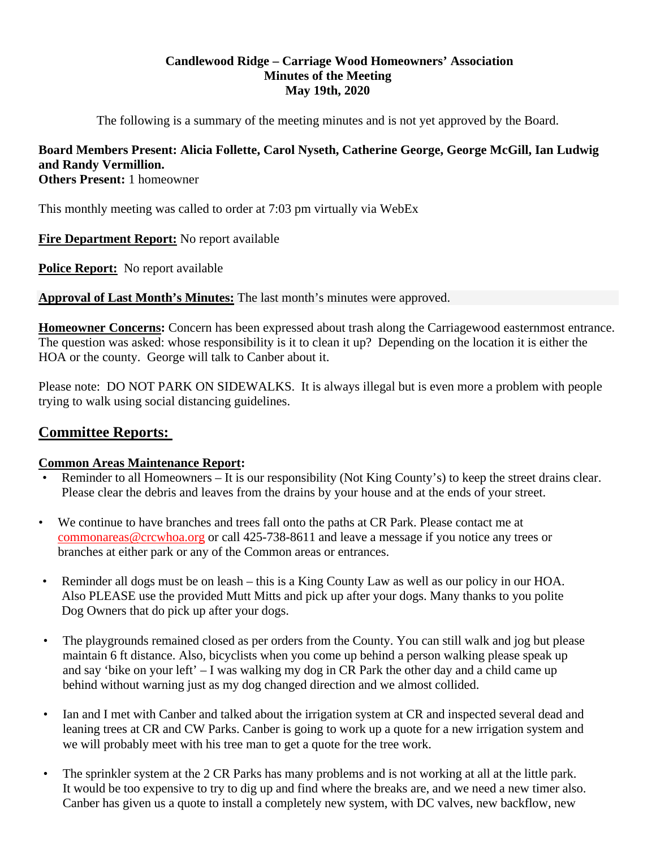## **Candlewood Ridge – Carriage Wood Homeowners' Association Minutes of the Meeting May 19th, 2020**

The following is a summary of the meeting minutes and is not yet approved by the Board.

# **Board Members Present: Alicia Follette, Carol Nyseth, Catherine George, George McGill, Ian Ludwig and Randy Vermillion.**

**Others Present:** 1 homeowner

This monthly meeting was called to order at 7:03 pm virtually via WebEx

**Fire Department Report:** No report available

**Police Report:** No report available

**Approval of Last Month's Minutes:** The last month's minutes were approved.

**Homeowner Concerns:** Concern has been expressed about trash along the Carriagewood easternmost entrance. The question was asked: whose responsibility is it to clean it up? Depending on the location it is either the HOA or the county. George will talk to Canber about it.

Please note: DO NOT PARK ON SIDEWALKS. It is always illegal but is even more a problem with people trying to walk using social distancing guidelines.

# **Committee Reports:**

# **Common Areas Maintenance Report:**

- Reminder to all Homeowners It is our responsibility (Not King County's) to keep the street drains clear. Please clear the debris and leaves from the drains by your house and at the ends of your street.
- We continue to have branches and trees fall onto the paths at CR Park. Please contact me at commonareas@crcwhoa.org or call 425-738-8611 and leave a message if you notice any trees or branches at either park or any of the Common areas or entrances.
- Reminder all dogs must be on leash this is a King County Law as well as our policy in our HOA. Also PLEASE use the provided Mutt Mitts and pick up after your dogs. Many thanks to you polite Dog Owners that do pick up after your dogs.
- The playgrounds remained closed as per orders from the County. You can still walk and jog but please maintain 6 ft distance. Also, bicyclists when you come up behind a person walking please speak up and say 'bike on your left' – I was walking my dog in CR Park the other day and a child came up behind without warning just as my dog changed direction and we almost collided.
- Ian and I met with Canber and talked about the irrigation system at CR and inspected several dead and leaning trees at CR and CW Parks. Canber is going to work up a quote for a new irrigation system and we will probably meet with his tree man to get a quote for the tree work.
- The sprinkler system at the 2 CR Parks has many problems and is not working at all at the little park. It would be too expensive to try to dig up and find where the breaks are, and we need a new timer also. Canber has given us a quote to install a completely new system, with DC valves, new backflow, new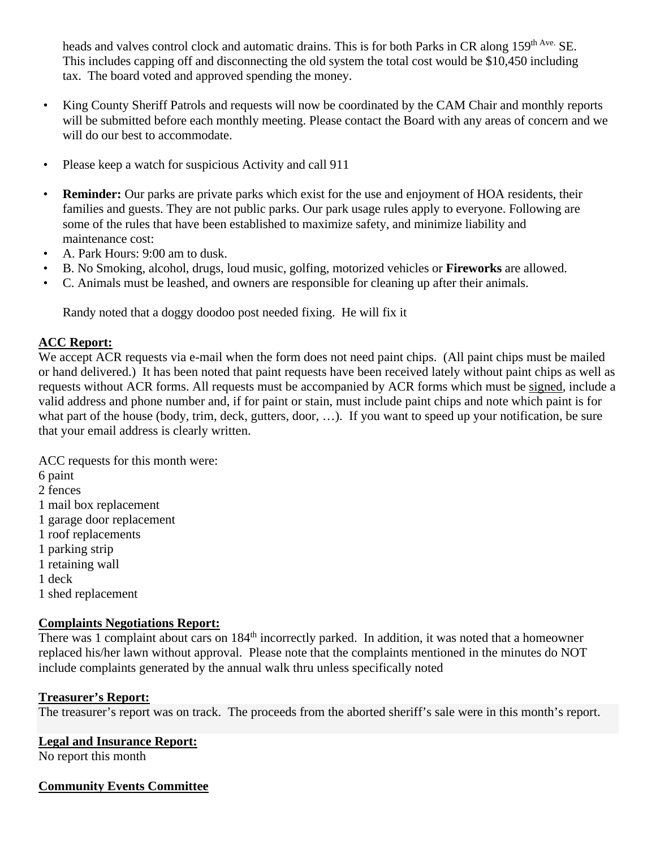heads and valves control clock and automatic drains. This is for both Parks in CR along 159<sup>th Ave.</sup> SE. This includes capping off and disconnecting the old system the total cost would be \$10,450 including tax. The board voted and approved spending the money.

- King County Sheriff Patrols and requests will now be coordinated by the CAM Chair and monthly reports will be submitted before each monthly meeting. Please contact the Board with any areas of concern and we will do our best to accommodate.
- Please keep a watch for suspicious Activity and call 911
- **Reminder:** Our parks are private parks which exist for the use and enjoyment of HOA residents, their families and guests. They are not public parks. Our park usage rules apply to everyone. Following are some of the rules that have been established to maximize safety, and minimize liability and maintenance cost:
- A. Park Hours: 9:00 am to dusk.
- B. No Smoking, alcohol, drugs, loud music, golfing, motorized vehicles or **Fireworks** are allowed.
- C. Animals must be leashed, and owners are responsible for cleaning up after their animals.

Randy noted that a doggy doodoo post needed fixing. He will fix it

# **ACC Report:**

We accept ACR requests via e-mail when the form does not need paint chips. (All paint chips must be mailed or hand delivered.) It has been noted that paint requests have been received lately without paint chips as well as requests without ACR forms. All requests must be accompanied by ACR forms which must be signed, include a valid address and phone number and, if for paint or stain, must include paint chips and note which paint is for what part of the house (body, trim, deck, gutters, door, ...). If you want to speed up your notification, be sure that your email address is clearly written.

ACC requests for this month were: 6 paint 2 fences 1 mail box replacement 1 garage door replacement 1 roof replacements 1 parking strip 1 retaining wall 1 deck 1 shed replacement

# **Complaints Negotiations Report:**

There was 1 complaint about cars on 184<sup>th</sup> incorrectly parked. In addition, it was noted that a homeowner replaced his/her lawn without approval. Please note that the complaints mentioned in the minutes do NOT include complaints generated by the annual walk thru unless specifically noted

# **Treasurer's Report:**

The treasurer's report was on track. The proceeds from the aborted sheriff's sale were in this month's report.

# **Legal and Insurance Report:**

No report this month

# **Community Events Committee**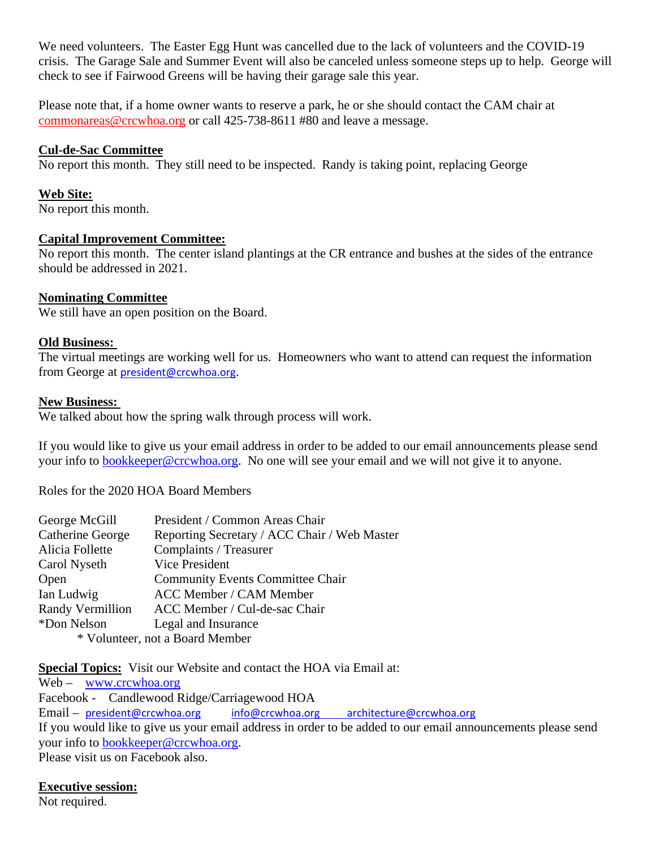We need volunteers. The Easter Egg Hunt was cancelled due to the lack of volunteers and the COVID-19 crisis. The Garage Sale and Summer Event will also be canceled unless someone steps up to help. George will check to see if Fairwood Greens will be having their garage sale this year.

Please note that, if a home owner wants to reserve a park, he or she should contact the CAM chair at commonareas@crcwhoa.org or call 425-738-8611 #80 and leave a message.

#### **Cul-de-Sac Committee**

No report this month. They still need to be inspected. Randy is taking point, replacing George

#### **Web Site:**

No report this month.

#### **Capital Improvement Committee:**

No report this month. The center island plantings at the CR entrance and bushes at the sides of the entrance should be addressed in 2021.

#### **Nominating Committee**

We still have an open position on the Board.

#### **Old Business:**

The virtual meetings are working well for us. Homeowners who want to attend can request the information from George at president@crcwhoa.org.

#### **New Business:**

We talked about how the spring walk through process will work.

If you would like to give us your email address in order to be added to our email announcements please send your info to bookkeeper@crcwhoa.org. No one will see your email and we will not give it to anyone.

Roles for the 2020 HOA Board Members

| George McGill                   | President / Common Areas Chair               |
|---------------------------------|----------------------------------------------|
| Catherine George                | Reporting Secretary / ACC Chair / Web Master |
| Alicia Follette                 | Complaints / Treasurer                       |
| Carol Nyseth                    | Vice President                               |
| Open                            | <b>Community Events Committee Chair</b>      |
| Ian Ludwig                      | <b>ACC Member / CAM Member</b>               |
| Randy Vermillion                | ACC Member / Cul-de-sac Chair                |
| *Don Nelson                     | Legal and Insurance                          |
| * Volunteer, not a Board Member |                                              |

**Special Topics:** Visit our Website and contact the HOA via Email at:

Web – www.crcwhoa.org Facebook - Candlewood Ridge/Carriagewood HOA Email – president@crcwhoa.org info@crcwhoa.org architecture@crcwhoa.org If you would like to give us your email address in order to be added to our email announcements please send your info to **bookkeeper@crcwhoa.org**. Please visit us on Facebook also.

#### **Executive session:**

Not required.